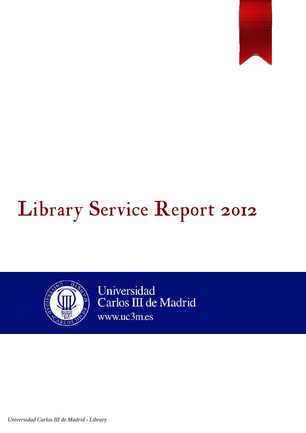

# Library Service Report 2012



Universidad Carlos III de Madrid www.uc3m.es

*Universidad Carlos III de Madrid - Library*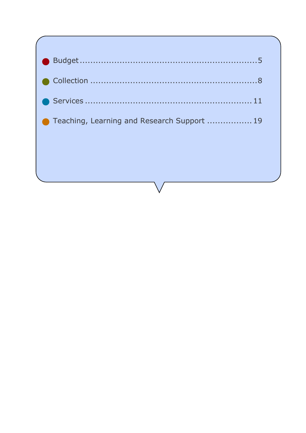| ● Teaching, Learning and Research Support  19 |
|-----------------------------------------------|
|                                               |
|                                               |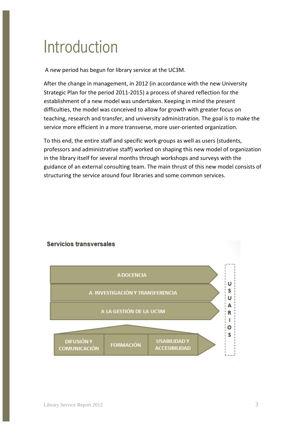## Introduction

A new period has begun for library service at the UC3M.

After the change in management, in 2012 (in accordance with the new University Strategic Plan for the period 2011-2015) a process of shared reflection for the establishment of a new model was undertaken. Keeping in mind the present difficulties, the model was conceived to allow for growth with greater focus on teaching, research and transfer, and university administration. The goal is to make the service more efficient in a more transverse, more user-oriented organization.

To this end, the entire staff and specific work groups as well as users (students, professors and administrative staff) worked on shaping this new model of organization in the library itself for several months through workshops and surveys with the guidance of an external consulting team. The main thrust of this new model consists of structuring the service around four libraries and some common services.



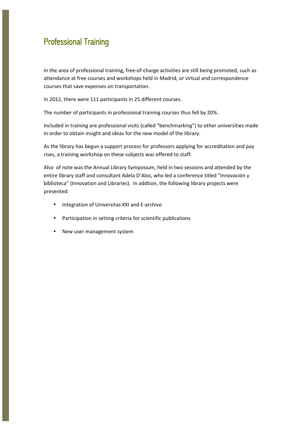#### **Professional Training**

In the area of professional training, free-of-charge activities are still being promoted, such as attendance at free courses and workshops held in Madrid, or virtual and correspondence courses that save expenses on transportation.

In 2012, there were 111 participants in 25 different courses.

The number of participants in professional training courses thus fell by 20%.

Included in training are professional visits (called "benchmarking") to other universities made in order to obtain insight and ideas for the new model of the library.

As the library has begun a support process for professors applying for accreditation and pay rises, a training workshop on these subjects was offered to staff.

Also of note was the Annual Library Symposium, held in two sessions and attended by the entire library staff and consultant Adela D'Alos, who led a conference titled "Innovación y biblioteca" (Innovation and Libraries). In addtion, the following library projects were presented:

- Integration of Universitas XXI and E-archivo
- Participation in setting criteria for scientific publications
- New user management system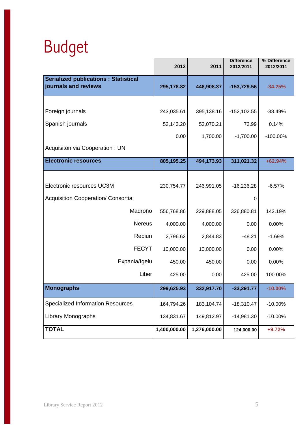## Budget

|                                                                     | 2012         | 2011         | <b>Difference</b><br>2012/2011 | % Difference<br>2012/2011 |
|---------------------------------------------------------------------|--------------|--------------|--------------------------------|---------------------------|
| <b>Serialized publications: Statistical</b><br>journals and reviews | 295,178.82   | 448,908.37   | -153,729.56                    | $-34.25%$                 |
|                                                                     |              |              |                                |                           |
| Foreign journals                                                    | 243,035.61   | 395,138.16   | $-152, 102.55$                 | $-38.49%$                 |
| Spanish journals                                                    | 52,143.20    | 52,070.21    | 72.99                          | 0.14%                     |
|                                                                     | 0.00         | 1,700.00     | $-1,700.00$                    | $-100.00\%$               |
| Acquisiton via Cooperation : UN                                     |              |              |                                |                           |
| <b>Electronic resources</b>                                         | 805,195.25   | 494,173.93   | 311,021.32                     | +62.94%                   |
|                                                                     |              |              |                                |                           |
| Electronic resources UC3M                                           | 230,754.77   | 246,991.05   | $-16,236.28$                   | $-6.57%$                  |
| Acquisition Cooperation/ Consortia:                                 |              |              | 0                              |                           |
| Madroño                                                             | 556,768.86   | 229,888.05   | 326,880.81                     | 142.19%                   |
| <b>Nereus</b>                                                       | 4,000.00     | 4,000.00     | 0.00                           | 0.00%                     |
| Rebiun                                                              | 2,796.62     | 2,844.83     | $-48.21$                       | $-1.69%$                  |
| <b>FECYT</b>                                                        | 10,000.00    | 10,000.00    | 0.00                           | 0.00%                     |
| Expania/Igelu                                                       | 450.00       | 450.00       | 0.00                           | 0.00%                     |
| Liber                                                               | 425.00       | 0.00         | 425.00                         | 100.00%                   |
| <b>Monographs</b>                                                   | 299,625.93   | 332,917.70   | $-33,291.77$                   | $-10.00%$                 |
| <b>Specialized Information Resources</b>                            | 164,794.26   | 183,104.74   | $-18,310.47$                   | $-10.00%$                 |
| <b>Library Monographs</b>                                           | 134,831.67   | 149,812.97   | $-14,981.30$                   | $-10.00\%$                |
| <b>TOTAL</b>                                                        | 1,400,000.00 | 1,276,000.00 | 124,000.00                     | +9.72%                    |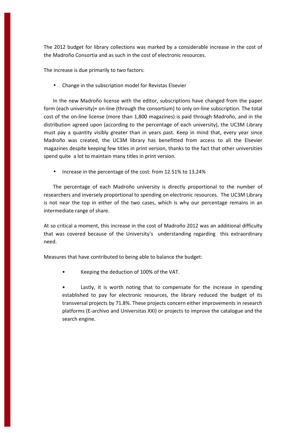The 2012 budget for library collections was marked by a considerable increase in the cost of the Madroño Consortia and as such in the cost of electronic resources.

The increase is due primarily to two factors:

• Change in the subscription model for Revistas Elsevier

In the new Madroño license with the editor, subscriptions have changed from the paper form (each university)+ on-line (through the consortium) to only on-line subscription. The total cost of the on-line license (more than 1,800 magazines) is paid through Madroño, and in the distribution agreed upon (according to the percentage of each university), the UC3M Library must pay a quantity visibly greater than in years past. Keep in mind that, every year since Madroño was created, the UC3M library has benefitted from access to all the Elsevier magazines despite keeping few titles in print version, thanks to the fact that other universities spend quite a lot to maintain many titles in print version.

• Increase in the percentage of the cost: from 12.51% to 13.24%

The percentage of each Madroño university is directly proportional to the number of researchers and inversely proportional to spending on electronic resources. The UC3M Library is not near the top in either of the two cases, which is why our percentage remains in an intermediate range of share.

At so critical a moment, this increase in the cost of Madroño 2012 was an additional difficulty that was covered because of the University's understanding regarding this extraordinary need.

Measures that have contributed to being able to balance the budget:

• Keeping the deduction of 100% of the VAT.

Lastly, it is worth noting that to compensate for the increase in spending established to pay for electronic resources, the library reduced the budget of its transversal projects by 71.8%. These projects concern either improvements in research platforms (E-archivo and Universitas XXI) or projects to improve the catalogue and the search engine.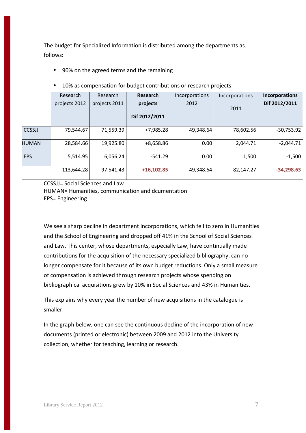The budget for Specialized Information is distributed among the departments as follows:

• 90% on the agreed terms and the remaining

|              | Research      | Research      | Research      | Incorporations | Incorporations | <b>Incorporations</b> |
|--------------|---------------|---------------|---------------|----------------|----------------|-----------------------|
|              | projects 2012 | projects 2011 | projects      | 2012           | 2011           | Dif 2012/2011         |
|              |               |               | Dif 2012/2011 |                |                |                       |
| CCSSJJ       | 79,544.67     | 71,559.39     | $+7,985.28$   | 49,348.64      | 78,602.56      | $-30,753.92$          |
| <b>HUMAN</b> | 28,584.66     | 19,925.80     | $+8,658.86$   | 0.00           | 2,044.71       | $-2,044.71$           |
| <b>EPS</b>   | 5,514.95      | 6,056.24      | -541.29       | 0.00           | 1,500          | $-1,500$              |
|              | 113,644.28    | 97,541.43     | $+16,102.85$  | 49,348.64      | 82,147.27      | $-34,298.63$          |

• 10% as compensation for budget contributions or research projects.

CCSSJJ= Social Sciences and Law HUMAN= Humanities, communication and dcumentation EPS= Engineering

We see a sharp decline in department incorporations, which fell to zero in Humanities and the School of Engineering and dropped off 41% in the School of Social Sciences and Law. This center, whose departments, especially Law, have continually made contributions for the acquisition of the necessary specialized bibliography, can no longer compensate for it because of its own budget reductions. Only a small measure of compensation is achieved through research projects whose spending on bibliographical acquisitions grew by 10% in Social Sciences and 43% in Humanities.

This explains why every year the number of new acquisitions in the catalogue is smaller.

In the graph below, one can see the continuous decline of the incorporation of new documents (printed or electronic) between 2009 and 2012 into the University collection, whether for teaching, learning or research.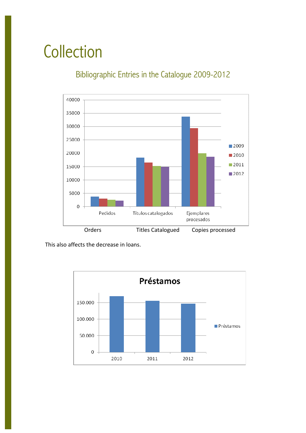## **Collection**

### Bibliographic Entries in the Catalogue 2009-2012



This also affects the decrease in loans.

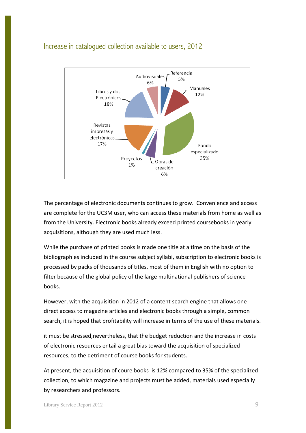#### Increase in catalogued collection available to users, 2012



The percentage of electronic documents continues to grow. Convenience and access are complete for the UC3M user, who can access these materials from home as well as from the University. Electronic books already exceed printed coursebooks in yearly acquisitions, although they are used much less.

While the purchase of printed books is made one title at a time on the basis of the bibliographies included in the course subject syllabi, subscription to electronic books is processed by packs of thousands of titles, most of them in English with no option to filter because of the global policy of the large multinational publishers of science books.

However, with the acquisition in 2012 of a content search engine that allows one direct access to magazine articles and electronic books through a simple, common search, it is hoped that profitability will increase in terms of the use of these materials.

it must be stressed,nevertheless, that the budget reduction and the increase in costs of electronic resources entail a great bias toward the acquisition of specialized resources, to the detriment of course books for students.

At present, the acquisition of coure books is 12% compared to 35% of the specialized collection, to which magazine and projects must be added, materials used especially by researchers and professors.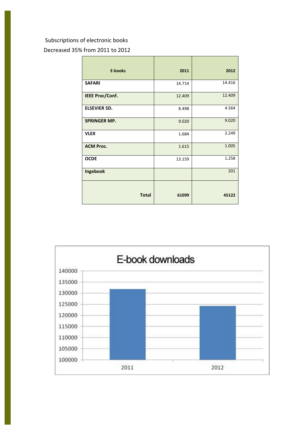#### Subscriptions of electronic books

Decreased 35% from 2011 to 2012

| <b>E-books</b>         | 2011   | 2012   |
|------------------------|--------|--------|
| <b>SAFARI</b>          | 14.714 | 14.416 |
| <b>IEEE Proc/Conf.</b> | 12.409 | 12.409 |
| <b>ELSEVIER SD.</b>    | 8.498  | 4.564  |
| <b>SPRINGER MP.</b>    | 9.020  | 9.020  |
| <b>VLEX</b>            | 1.684  | 2.249  |
| <b>ACM Proc.</b>       | 1.615  | 1.005  |
| <b>OCDE</b>            | 13.159 | 1.258  |
| Ingebook               |        | 201    |
|                        |        |        |
| <b>Total</b>           | 61099  | 45122  |

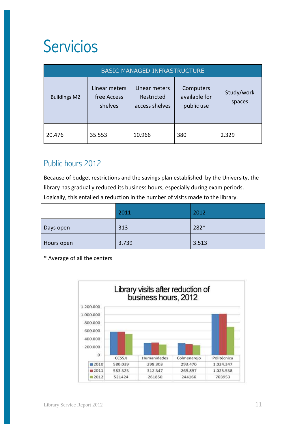## Servicios

| <b>BASIC MANAGED INFRASTRUCTURE</b> |                                         |                                               |                                          |                      |
|-------------------------------------|-----------------------------------------|-----------------------------------------------|------------------------------------------|----------------------|
| <b>Buildings M2</b>                 | Linear meters<br>free Access<br>shelves | Linear meters<br>Restricted<br>access shelves | Computers<br>available for<br>public use | Study/work<br>spaces |
| 20.476                              | 35.553                                  | 10.966                                        | 380                                      | 2.329                |

### Public hours 2012

Because of budget restrictions and the savings plan established by the University, the library has gradually reduced its business hours, especially during exam periods. Logically, this entailed a reduction in the number of visits made to the library.

|            | 2011  | 2012  |
|------------|-------|-------|
| Days open  | 313   | 282*  |
| Hours open | 3.739 | 3.513 |

\* Average of all the centers

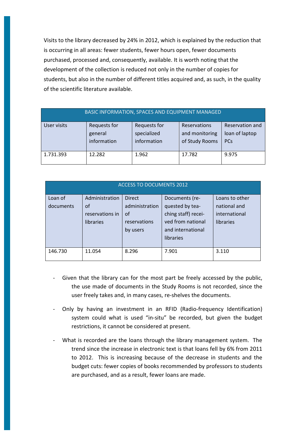Visits to the library decreased by 24% in 2012, which is explained by the reduction that is occurring in all areas: fewer students, fewer hours open, fewer documents purchased, processed and, consequently, available. It is worth noting that the development of the collection is reduced not only in the number of copies for students, but also in the number of different titles acquired and, as such, in the quality of the scientific literature available.

| <b>BASIC INFORMATION, SPACES AND EQUIPMENT MANAGED</b> |                                               |                                            |                                                  |                                                 |
|--------------------------------------------------------|-----------------------------------------------|--------------------------------------------|--------------------------------------------------|-------------------------------------------------|
| User visits                                            | <b>Requests for</b><br>general<br>information | Requests for<br>specialized<br>information | Reservations<br>and monitoring<br>of Study Rooms | Reservation and<br>loan of laptop<br><b>PCs</b> |
| 1.731.393                                              | 12.282                                        | 1.962                                      | 17.782                                           | 9.975                                           |

| <b>ACCESS TO DOCUMENTS 2012</b> |                 |                |                     |                |
|---------------------------------|-----------------|----------------|---------------------|----------------|
| Loan of                         | Administration  | <b>Direct</b>  | Documents (re-      | Loans to other |
| documents                       | of              | administration | quested by tea-     | national and   |
|                                 | reservations in | of             | ching staff) recei- | international  |
|                                 | libraries       | reservations   | ved from national   | libraries      |
|                                 |                 | by users       | and international   |                |
|                                 |                 |                | libraries           |                |
|                                 |                 |                |                     |                |
| 146.730                         | 11.054          | 8.296          | 7.901               | 3.110          |
|                                 |                 |                |                     |                |

- Given that the library can for the most part be freely accessed by the public, the use made of documents in the Study Rooms is not recorded, since the user freely takes and, in many cases, re-shelves the documents.
- Only by having an investment in an RFID (Radio-frequency Identification) system could what is used "in-situ" be recorded, but given the budget restrictions, it cannot be considered at present.
- What is recorded are the loans through the library management system. The trend since the increase in electronic text is that loans fell by 6% from 2011 to 2012. This is increasing because of the decrease in students and the budget cuts: fewer copies of books recommended by professors to students are purchased, and as a result, fewer loans are made.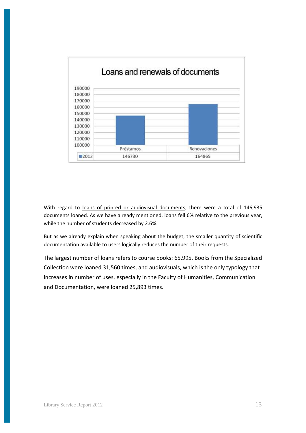

With regard to loans of printed or audiovisual documents, there were a total of 146,935 documents loaned. As we have already mentioned, loans fell 6% relative to the previous year, while the number of students decreased by 2.6%.

But as we already explain when speaking about the budget, the smaller quantity of scientific documentation available to users logically reduces the number of their requests.

The largest number of loans refers to course books: 65,995. Books from the Specialized Collection were loaned 31,560 times, and audiovisuals, which is the only typology that increases in number of uses, especially in the Faculty of Humanities, Communication and Documentation, were loaned 25,893 times.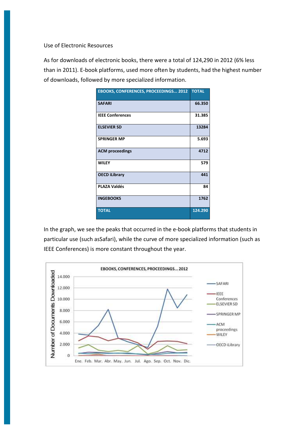Use of Electronic Resources

As for downloads of electronic books, there were a total of 124,290 in 2012 (6% less than in 2011). E-book platforms, used more often by students, had the highest number of downloads, followed by more specialized information.

| EBOOKS, CONFERENCES, PROCEEDINGS 2012 TOTAL |         |
|---------------------------------------------|---------|
| <b>SAFARI</b>                               | 66.350  |
| <b>IEEE Conferences</b>                     | 31.385  |
| <b>ELSEVIER SD</b>                          | 13284   |
| <b>SPRINGER MP</b>                          | 5.693   |
| <b>ACM</b> proceedings                      | 4712    |
| <b>WILEY</b>                                | 579     |
| <b>OECD iLibrary</b>                        | 441     |
| <b>PLAZA Valdés</b>                         | 84      |
| <b>INGEBOOKS</b>                            | 1762    |
| <b>TOTAL</b>                                | 124.290 |

In the graph, we see the peaks that occurred in the e-book platforms that students in particular use (such asSafari), while the curve of more specialized information (such as IEEE Conferences) is more constant throughout the year.

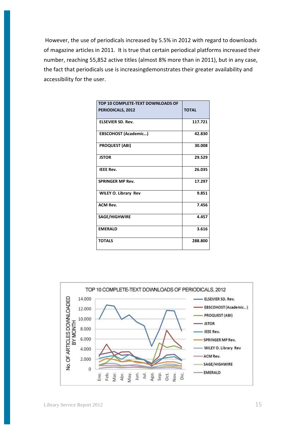However, the use of periodicals increased by 5.5% in 2012 with regard to downloads of magazine articles in 2011. It is true that certain periodical platforms increased their number, reaching 55,852 active titles (almost 8% more than in 2011), but in any case, the fact that periodicals use is increasingdemonstrates their greater availability and accessibility for the user.

| TOP 10 COMPLETE-TEXT DOWNLOADS OF |              |
|-----------------------------------|--------------|
| PERIODICALS, 2012                 | <b>TOTAL</b> |
| <b>ELSEVIER SD. Rev.</b>          | 117.721      |
| EBSCOHOST (Academic)              | 42.830       |
| <b>PROQUEST (ABI)</b>             | 30.008       |
| <b>JSTOR</b>                      | 29.529       |
| <b>IEEE Rev.</b>                  | 26.035       |
| <b>SPRINGER MP Rev.</b>           | 17.297       |
| WILEY O. Library Rev              | 9.851        |
| <b>ACM Rev.</b>                   | 7.456        |
| SAGE/HIGHWIRE                     | 4.457        |
| <b>EMERALD</b>                    | 3.616        |
| <b>TOTALS</b>                     | 288.800      |

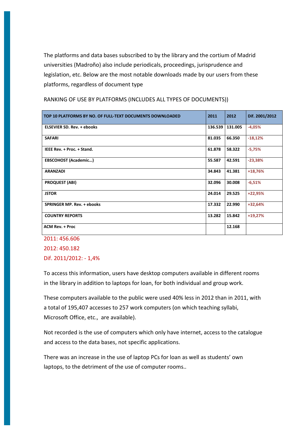The platforms and data bases subscribed to by the library and the cortium of Madrid universities (Madroño) also include periodicals, proceedings, jurisprudence and legislation, etc. Below are the most notable downloads made by our users from these platforms, regardless of document type

| TOP 10 PLATFORMS BY NO. OF FULL-TEXT DOCUMENTS DOWNLOADED | 2011    | 2012    | Dif. 2001/2012 |
|-----------------------------------------------------------|---------|---------|----------------|
| <b>ELSEVIER SD. Rev. + ebooks</b>                         | 136.539 | 131.005 | $-4,05%$       |
| <b>SAFARI</b>                                             | 81.035  | 66.350  | $-18,12%$      |
| IEEE Rev. + Proc. + Stand.                                | 61.878  | 58.322  | $-5,75%$       |
| <b>EBSCOHOST (Academic)</b>                               | 55.587  | 42.591  | $-23,38%$      |
| <b>ARANZADI</b>                                           | 34.843  | 41.381  | $+18,76%$      |
| <b>PROQUEST (ABI)</b>                                     | 32.096  | 30.008  | $-6,51%$       |
| <b>JSTOR</b>                                              | 24.014  | 29.525  | +22,95%        |
| <b>SPRINGER MP. Rev. + ebooks</b>                         | 17.332  | 22.990  | $+32,64%$      |
| <b>COUNTRY REPORTS</b>                                    | 13.282  | 15.842  | $+19,27%$      |
| <b>ACM Rev. + Proc</b>                                    |         | 12.168  |                |
| 2011: 456.606                                             |         |         |                |

RANKING OF USE BY PLATFORMS (INCLUDES ALL TYPES OF DOCUMENTS))

2012: 450.182 Dif. 2011/2012: - 1,4%

To access this information, users have desktop computers available in different rooms in the library in addition to laptops for loan, for both individual and group work.

These computers available to the public were used 40% less in 2012 than in 2011, with a total of 195,407 accesses to 257 work computers (on which teaching syllabi, Microsoft Office, etc., are available).

Not recorded is the use of computers which only have internet, access to the catalogue and access to the data bases, not specific applications.

There was an increase in the use of laptop PCs for loan as well as students' own laptops, to the detriment of the use of computer rooms..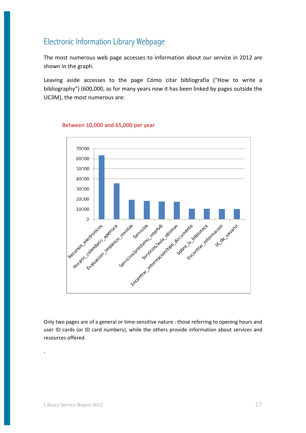#### Electronic Information Library Webpage

The most numerous web page accesses to information about our service in 2012 are shown in the graph.

Leaving aside accesses to the page Cómo citar bibliografía ("How to write a bibliography") (600,000, as for many years now it has been linked by pages outside the UC3M), the most numerous are:



#### Between 10,000 and 65,000 per year

Only two pages are of a general or time-sensitive nature : those referring to opening hours and user ID cards (or ID card numbers), while the others provide information about services and resources offered.

.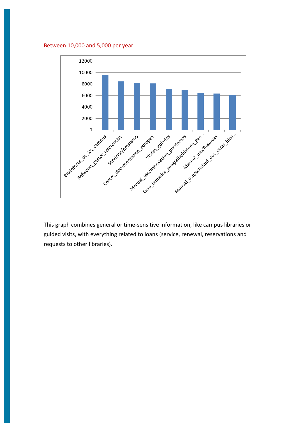#### Between 10,000 and 5,000 per year



This graph combines general or time-sensitive information, like campus libraries or guided visits, with everything related to loans (service, renewal, reservations and requests to other libraries).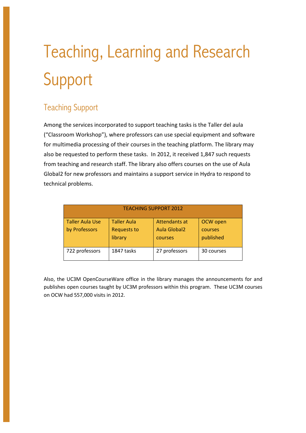# Teaching, Learning and Research Support

### Teaching Support

Among the services incorporated to support teaching tasks is the Taller del aula ("Classroom Workshop"), where professors can use special equipment and software for multimedia processing of their courses in the teaching platform. The library may also be requested to perform these tasks. In 2012, it received 1,847 such requests from teaching and research staff. The library also offers courses on the use of Aula Global2 for new professors and maintains a support service in Hydra to respond to technical problems.

| <b>TEACHING SUPPORT 2012</b> |                               |                                |                      |  |
|------------------------------|-------------------------------|--------------------------------|----------------------|--|
| <b>Taller Aula Use</b>       | <b>Taller Aula</b>            | Attendants at                  | OCW open             |  |
| by Professors                | <b>Requests to</b><br>library | <b>Aula Global2</b><br>courses | courses<br>published |  |
| 722 professors               | 1847 tasks                    | 27 professors                  | 30 courses           |  |

Also, the UC3M OpenCourseWare office in the library manages the announcements for and publishes open courses taught by UC3M professors within this program. These UC3M courses on OCW had 557,000 visits in 2012.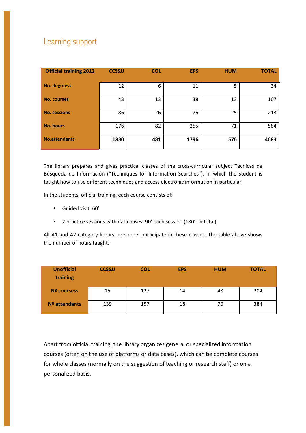### Learning support

| <b>Official training 2012</b> | <b>CCSSJJ</b> | <b>COL</b> | <b>EPS</b> | <b>HUM</b> | <b>TOTAL</b> |
|-------------------------------|---------------|------------|------------|------------|--------------|
| No. degreess                  | 12            | 6          | 11         | 5          | 34           |
| <b>No. courses</b>            | 43            | 13         | 38         | 13         | 107          |
| <b>No. sessions</b>           | 86            | 26         | 76         | 25         | 213          |
| <b>No. hours</b>              | 176           | 82         | 255        | 71         | 584          |
| <b>No.attendants</b>          | 1830          | 481        | 1796       | 576        | 4683         |

The library prepares and gives practical classes of the cross-curricular subject Técnicas de Búsqueda de Información ("Techniques for Information Searches"), in which the student is taught how to use different techniques and access electronic information in particular.

In the students' official training, each course consists of:

- Guided visit: 60'
- 2 practice sessions with data bases: 90' each session (180' en total)

All A1 and A2-category library personnel participate in these classes. The table above shows the number of hours taught.

| <b>Unofficial</b><br>training | <b>CCSSJJ</b> | <b>COL</b> | <b>EPS</b> | <b>HUM</b> | <b>TOTAL</b> |
|-------------------------------|---------------|------------|------------|------------|--------------|
| Nº coursess                   | 15            | 127        | 14         | 48         | 204          |
| Nº attendants                 | 139           | 157        | 18         | 70         | 384          |

Apart from official training, the library organizes general or specialized information courses (often on the use of platforms or data bases), which can be complete courses for whole classes (normally on the suggestion of teaching or research staff) or on a personalized basis.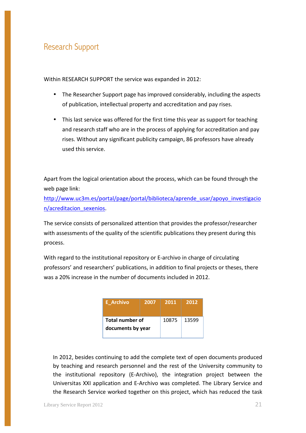#### Research Support

Within RESEARCH SUPPORT the service was expanded in 2012:

- The Researcher Support page has improved considerably, including the aspects of publication, intellectual property and accreditation and pay rises.
- This last service was offered for the first time this year as support for teaching and research staff who are in the process of applying for accreditation and pay rises. Without any significant publicity campaign, 86 professors have already used this service.

Apart from the logical orientation about the process, which can be found through the web page link:

http://www.uc3m.es/portal/page/portal/biblioteca/aprende\_usar/apoyo\_investigacio n/acreditacion\_sexenios.

The service consists of personalized attention that provides the professor/researcher with assessments of the quality of the scientific publications they present during this process.

With regard to the institutional repository or E-archivo in charge of circulating professors' and researchers' publications, in addition to final projects or theses, there was a 20% increase in the number of documents included in 2012.

| <b>E</b> Archivo                            | 2007  | 2011  | 2012 |
|---------------------------------------------|-------|-------|------|
| <b>Total number of</b><br>documents by year | 10875 | 13599 |      |

In 2012, besides continuing to add the complete text of open documents produced by teaching and research personnel and the rest of the University community to the institutional repository (E-Archivo), the integration project between the Universitas XXI application and E-Archivo was completed. The Library Service and the Research Service worked together on this project, which has reduced the task